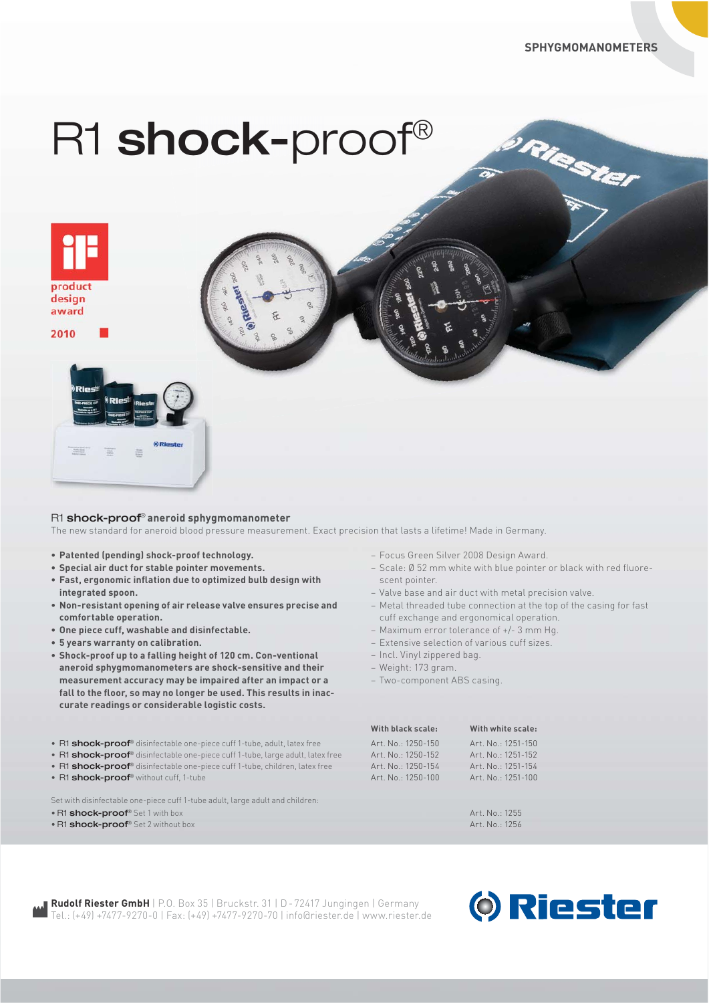Riester

# R1 shock-proof®



2010



# R1 shock-proof® **aneroid sphygmomanometer**

The new standard for aneroid blood pressure measurement. Exact precision that lasts a lifetime! Made in Germany.

- **Patented (pending) shock-proof technology.**
- **Special air duct for stable pointer movements.**
- **Fast, ergonomic inflation due to optimized bulb design with integrated spoon.**
- **Non-resistant opening of air release valve ensures precise and comfortable operation.**
- **One piece cuff, washable and disinfectable.**
- **5 years warranty on calibration.**
- **Shock-proof up to a falling height of 120 cm. Con-ventional aneroid sphygmomanometers are shock-sensitive and their measurement accuracy may be impaired after an impact or a fall to the floor, so may no longer be used. This results in inac curate readings or considerable logistic costs.**
- R1 shock-proof® disinfectable one-piece cuff 1-tube, adult, latex free
- R1 shock-proof® disinfectable one-piece cuff 1-tube, large adult, latex free
- R1 **shock-proof**<sup>®</sup> disinfectable one-piece cuff 1-tube, children, latex free
- R1 shock-proof® without cuff, 1-tube

Set with disinfectable one-piece cuff 1-tube adult, large adult and children:

- R1 shock-proof® Set 1 with box
- R1 shock-proof<sup>®</sup> Set 2 without box
- Focus Green Silver 2008 Design Award.
- Scale: Ø 52 mm white with blue pointer or black with red fluore scent pointer.
- Valve base and air duct with metal precision valve.
- Metal threaded tube connection at the top of the casing for fast cuff exchange and ergonomical operation.
- Maximum error tolerance of +/- 3 mm Hg.
- Extensive selection of various cuff sizes.
- Incl. Vinyl zippered bag.
- Weight: 173 gram.
- Two-component ABS casing.

| With black scale:  |
|--------------------|
| Art. No.: 1250-150 |
| Art. No.: 1250-152 |
| Art. No.: 1250-154 |
| Art. No.: 1250-100 |

**With white scale:** Art. No.: 1251-150 Art. No.: 1251-152 Art. No.: 1251-154 Art. No.: 1251-100

Art. No.: 1255  $Art$ . No.: 1256

**Rudolf Riester GmbH** | P.O. Box 35 | Bruckstr. 31 | D - 72417 Jungingen | Germany Tel.: (+49) +7477-9270-0 | Fax: (+49) +7477-9270-70 | info@riester.de | www.riester.de